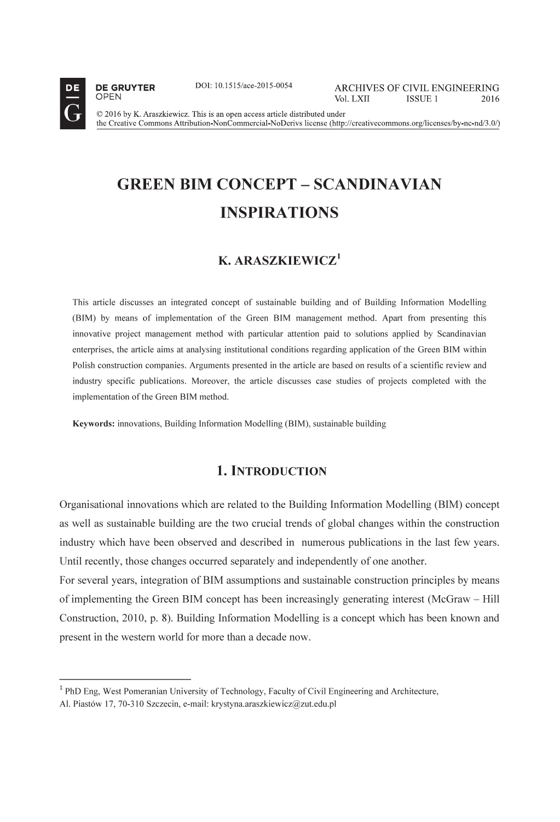

**DE GRUYTER OPEN** 

DOI: 10.1515/ace-2015-0054

© 2016 by K. Araszkiewicz. This is an open access article distributed under the Creative Commons Attribution-NonCommercial-NoDerivs license (http://creativecommons.org/licenses/by-nc-nd/3.0/)

# **GREEN BIM CONCEPT - SCANDINAVIAN INSPIRATIONS**

# K. ARASZKIEWICZ<sup>1</sup>

This article discusses an integrated concept of sustainable building and of Building Information Modelling (BIM) by means of implementation of the Green BIM management method. Apart from presenting this innovative project management method with particular attention paid to solutions applied by Scandinavian enterprises, the article aims at analysing institutional conditions regarding application of the Green BIM within Polish construction companies. Arguments presented in the article are based on results of a scientific review and industry specific publications. Moreover, the article discusses case studies of projects completed with the implementation of the Green BIM method.

Keywords: innovations, Building Information Modelling (BIM), sustainable building

## **1. INTRODUCTION**

Organisational innovations which are related to the Building Information Modelling (BIM) concept as well as sustainable building are the two crucial trends of global changes within the construction industry which have been observed and described in numerous publications in the last few years. Until recently, those changes occurred separately and independently of one another.

For several years, integration of BIM assumptions and sustainable construction principles by means of implementing the Green BIM concept has been increasingly generating interest (McGraw – Hill Construction, 2010, p. 8). Building Information Modelling is a concept which has been known and present in the western world for more than a decade now.

<sup>&</sup>lt;sup>1</sup> PhD Eng, West Pomeranian University of Technology, Faculty of Civil Engineering and Architecture,

Al. Piastów 17, 70-310 Szczecin, e-mail: krystyna.araszkiewicz@zut.edu.pl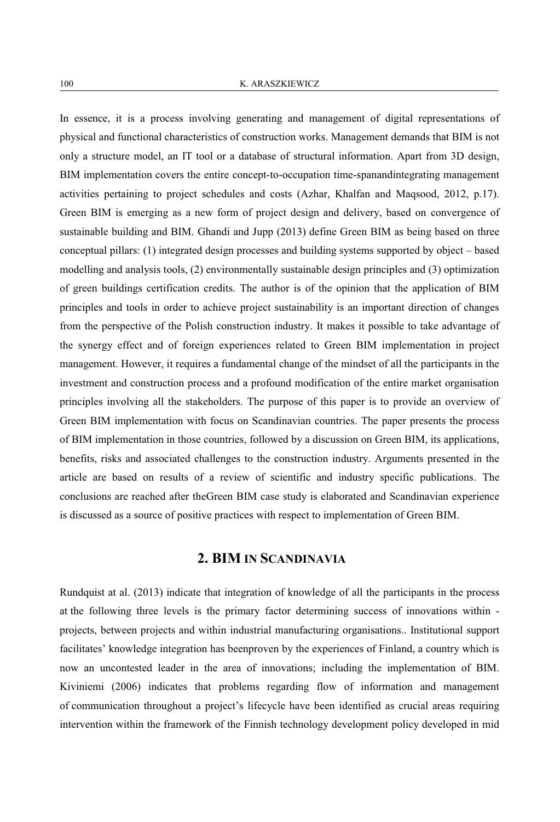In essence, it is a process involving generating and management of digital representations of physical and functional characteristics of construction works. Management demands that BIM is not only a structure model, an IT tool or a database of structural information. Apart from 3D design, BIM implementation covers the entire concept-to-occupation time-spanandintegrating management activities pertaining to project schedules and costs (Azhar, Khalfan and Maqsood, 2012, p.17). Green BIM is emerging as a new form of project design and delivery, based on convergence of sustainable building and BIM. Ghandi and Jupp (2013) define Green BIM as being based on three conceptual pillars: (1) integrated design processes and building systems supported by object – based modelling and analysis tools, (2) environmentally sustainable design principles and (3) optimization of green buildings certification credits. The author is of the opinion that the application of BIM principles and tools in order to achieve project sustainability is an important direction of changes from the perspective of the Polish construction industry. It makes it possible to take advantage of the synergy effect and of foreign experiences related to Green BIM implementation in project management. However, it requires a fundamental change of the mindset of all the participants in the investment and construction process and a profound modification of the entire market organisation principles involving all the stakeholders. The purpose of this paper is to provide an overview of Green BIM implementation with focus on Scandinavian countries. The paper presents the process of BIM implementation in those countries, followed by a discussion on Green BIM, its applications, benefits, risks and associated challenges to the construction industry. Arguments presented in the article are based on results of a review of scientific and industry specific publications. The conclusions are reached after theGreen BIM case study is elaborated and Scandinavian experience is discussed as a source of positive practices with respect to implementation of Green BIM.

## **2. BIM IN SCANDINAVIA**

Rundquist at al. (2013) indicate that integration of knowledge of all the participants in the process at the following three levels is the primary factor determining success of innovations within projects, between projects and within industrial manufacturing organisations.. Institutional support facilitates' knowledge integration has beenproven by the experiences of Finland, a country which is now an uncontested leader in the area of innovations; including the implementation of BIM. Kiviniemi (2006) indicates that problems regarding flow of information and management of communication throughout a project's lifecycle have been identified as crucial areas requiring intervention within the framework of the Finnish technology development policy developed in mid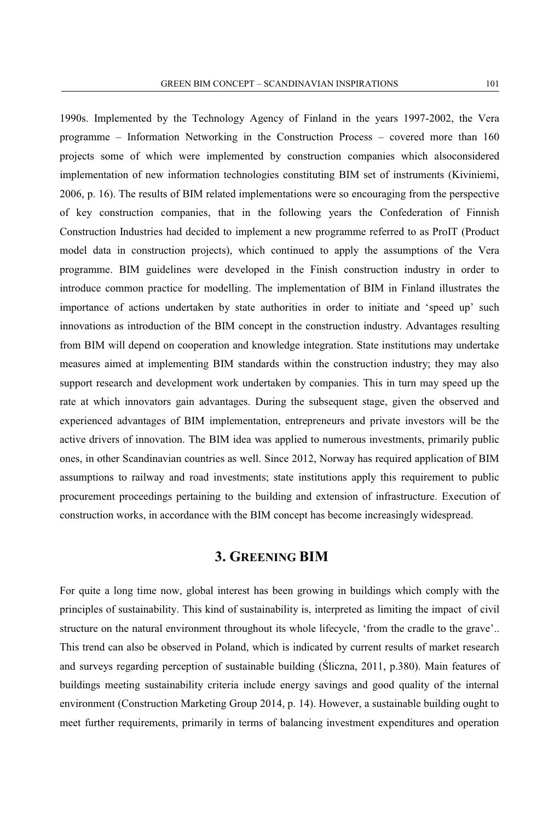1990s. Implemented by the Technology Agency of Finland in the years 1997-2002, the Vera programme – Information Networking in the Construction Process – covered more than 160 projects some of which were implemented by construction companies which alsoconsidered implementation of new information technologies constituting BIM set of instruments (Kiviniemi, 2006, p. 16). The results of BIM related implementations were so encouraging from the perspective of key construction companies, that in the following years the Confederation of Finnish Construction Industries had decided to implement a new programme referred to as ProIT (Product model data in construction projects), which continued to apply the assumptions of the Vera programme. BIM guidelines were developed in the Finish construction industry in order to introduce common practice for modelling. The implementation of BIM in Finland illustrates the importance of actions undertaken by state authorities in order to initiate and 'speed up' such innovations as introduction of the BIM concept in the construction industry. Advantages resulting from BIM will depend on cooperation and knowledge integration. State institutions may undertake measures aimed at implementing BIM standards within the construction industry; they may also support research and development work undertaken by companies. This in turn may speed up the rate at which innovators gain advantages. During the subsequent stage, given the observed and experienced advantages of BIM implementation, entrepreneurs and private investors will be the active drivers of innovation. The BIM idea was applied to numerous investments, primarily public ones, in other Scandinavian countries as well. Since 2012, Norway has required application of BIM assumptions to railway and road investments; state institutions apply this requirement to public procurement proceedings pertaining to the building and extension of infrastructure. Execution of construction works, in accordance with the BIM concept has become increasingly widespread.

# **3. GREENING BIM**

For quite a long time now, global interest has been growing in buildings which comply with the principles of sustainability. This kind of sustainability is, interpreted as limiting the impact of civil structure on the natural environment throughout its whole lifecycle, 'from the cradle to the grave'.. This trend can also be observed in Poland, which is indicated by current results of market research and surveys regarding perception of sustainable building (Śliczna, 2011, p.380). Main features of buildings meeting sustainability criteria include energy savings and good quality of the internal environment (Construction Marketing Group 2014, p. 14). However, a sustainable building ought to meet further requirements, primarily in terms of balancing investment expenditures and operation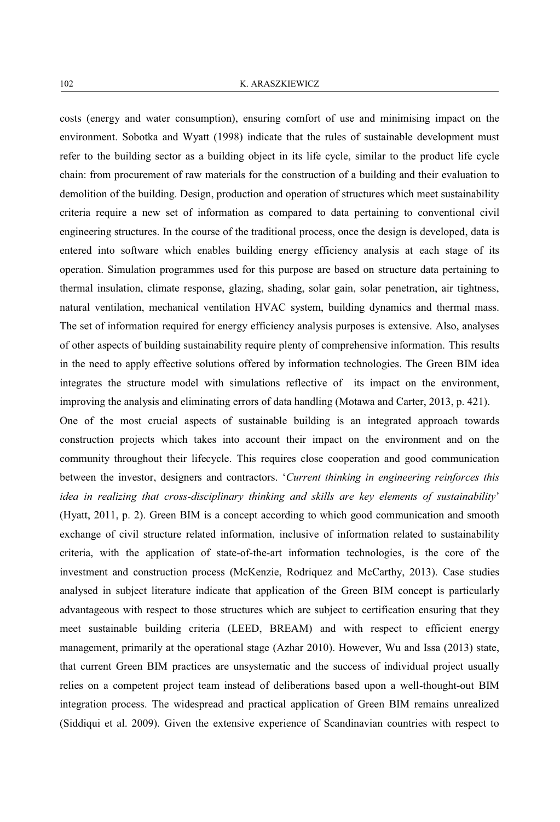costs (energy and water consumption), ensuring comfort of use and minimising impact on the environment. Sobotka and Wyatt (1998) indicate that the rules of sustainable development must refer to the building sector as a building object in its life cycle, similar to the product life cycle chain: from procurement of raw materials for the construction of a building and their evaluation to demolition of the building. Design, production and operation of structures which meet sustainability criteria require a new set of information as compared to data pertaining to conventional civil engineering structures. In the course of the traditional process, once the design is developed, data is entered into software which enables building energy efficiency analysis at each stage of its operation. Simulation programmes used for this purpose are based on structure data pertaining to thermal insulation, climate response, glazing, shading, solar gain, solar penetration, air tightness, natural ventilation, mechanical ventilation HVAC system, building dynamics and thermal mass. The set of information required for energy efficiency analysis purposes is extensive. Also, analyses of other aspects of building sustainability require plenty of comprehensive information. This results in the need to apply effective solutions offered by information technologies. The Green BIM idea integrates the structure model with simulations reflective of its impact on the environment, improving the analysis and eliminating errors of data handling (Motawa and Carter, 2013, p. 421).

One of the most crucial aspects of sustainable building is an integrated approach towards construction projects which takes into account their impact on the environment and on the community throughout their lifecycle. This requires close cooperation and good communication between the investor, designers and contractors. '*Current thinking in engineering reinforces this idea in realizing that cross-disciplinary thinking and skills are key elements of sustainability*' (Hyatt, 2011, p. 2). Green BIM is a concept according to which good communication and smooth exchange of civil structure related information, inclusive of information related to sustainability criteria, with the application of state-of-the-art information technologies, is the core of the investment and construction process (McKenzie, Rodriquez and McCarthy, 2013). Case studies analysed in subject literature indicate that application of the Green BIM concept is particularly advantageous with respect to those structures which are subject to certification ensuring that they meet sustainable building criteria (LEED, BREAM) and with respect to efficient energy management, primarily at the operational stage (Azhar 2010). However, Wu and Issa (2013) state, that current Green BIM practices are unsystematic and the success of individual project usually relies on a competent project team instead of deliberations based upon a well-thought-out BIM integration process. The widespread and practical application of Green BIM remains unrealized (Siddiqui et al. 2009). Given the extensive experience of Scandinavian countries with respect to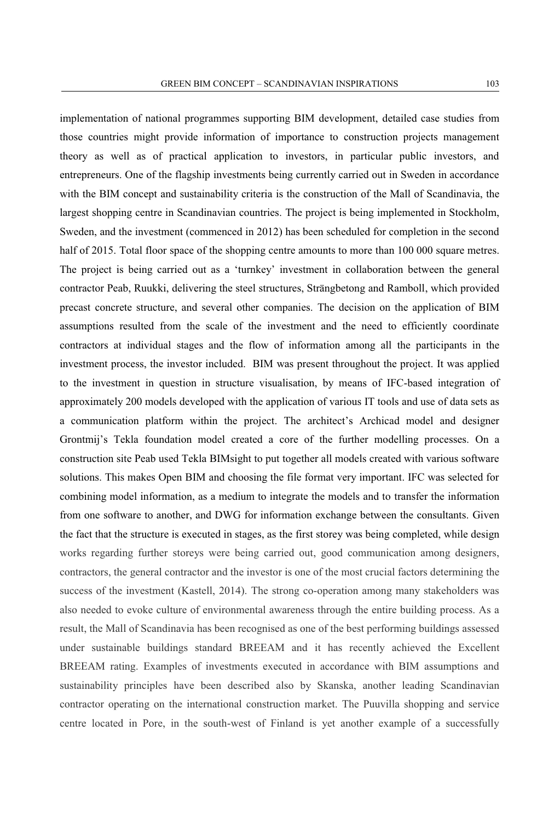implementation of national programmes supporting BIM development, detailed case studies from those countries might provide information of importance to construction projects management theory as well as of practical application to investors, in particular public investors, and entrepreneurs. One of the flagship investments being currently carried out in Sweden in accordance with the BIM concept and sustainability criteria is the construction of the Mall of Scandinavia, the largest shopping centre in Scandinavian countries. The project is being implemented in Stockholm, Sweden, and the investment (commenced in 2012) has been scheduled for completion in the second half of 2015. Total floor space of the shopping centre amounts to more than 100 000 square metres. The project is being carried out as a 'turnkey' investment in collaboration between the general contractor Peab, Ruukki, delivering the steel structures, Strängbetong and Ramboll, which provided precast concrete structure, and several other companies. The decision on the application of BIM assumptions resulted from the scale of the investment and the need to efficiently coordinate contractors at individual stages and the flow of information among all the participants in the investment process, the investor included. BIM was present throughout the project. It was applied to the investment in question in structure visualisation, by means of IFC-based integration of approximately 200 models developed with the application of various IT tools and use of data sets as a communication platform within the project. The architect's Archicad model and designer Grontmij's Tekla foundation model created a core of the further modelling processes. On a construction site Peab used Tekla BIMsight to put together all models created with various software solutions. This makes Open BIM and choosing the file format very important. IFC was selected for combining model information, as a medium to integrate the models and to transfer the information from one software to another, and DWG for information exchange between the consultants. Given the fact that the structure is executed in stages, as the first storey was being completed, while design works regarding further storeys were being carried out, good communication among designers, contractors, the general contractor and the investor is one of the most crucial factors determining the success of the investment (Kastell, 2014). The strong co-operation among many stakeholders was also needed to evoke culture of environmental awareness through the entire building process. As a result, the Mall of Scandinavia has been recognised as one of the best performing buildings assessed under sustainable buildings standard BREEAM and it has recently achieved the Excellent BREEAM rating. Examples of investments executed in accordance with BIM assumptions and sustainability principles have been described also by Skanska, another leading Scandinavian contractor operating on the international construction market. The Puuvilla shopping and service centre located in Pore, in the south-west of Finland is yet another example of a successfully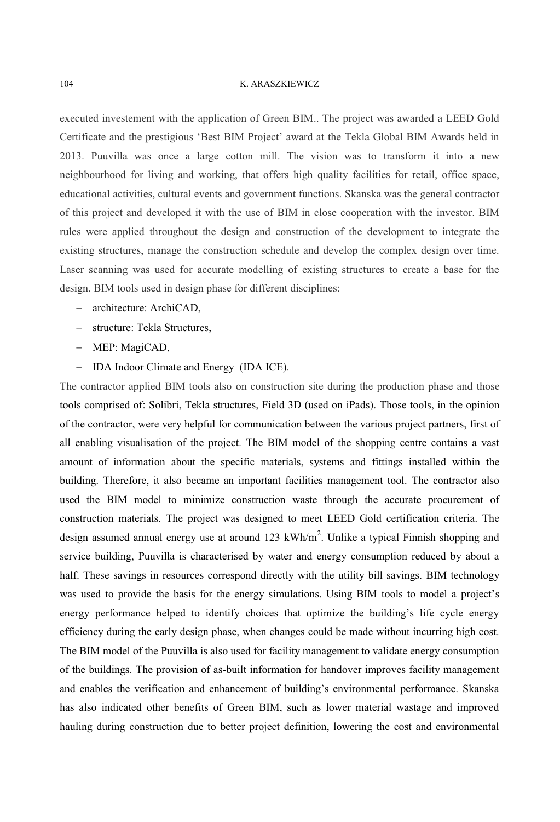executed investement with the application of Green BIM.. The project was awarded a LEED Gold Certificate and the prestigious 'Best BIM Project' award at the Tekla Global BIM Awards held in 2013. Puuvilla was once a large cotton mill. The vision was to transform it into a new neighbourhood for living and working, that offers high quality facilities for retail, office space, educational activities, cultural events and government functions. Skanska was the general contractor of this project and developed it with the use of BIM in close cooperation with the investor. BIM rules were applied throughout the design and construction of the development to integrate the existing structures, manage the construction schedule and develop the complex design over time. Laser scanning was used for accurate modelling of existing structures to create a base for the design. BIM tools used in design phase for different disciplines:

- architecture: ArchiCAD,
- structure: Tekla Structures,
- MEP: MagiCAD,
- **IDA Indoor Climate and Energy (IDA ICE).**

The contractor applied BIM tools also on construction site during the production phase and those tools comprised of: Solibri, Tekla structures, Field 3D (used on iPads). Those tools, in the opinion of the contractor, were very helpful for communication between the various project partners, first of all enabling visualisation of the project. The BIM model of the shopping centre contains a vast amount of information about the specific materials, systems and fittings installed within the building. Therefore, it also became an important facilities management tool. The contractor also used the BIM model to minimize construction waste through the accurate procurement of construction materials. The project was designed to meet LEED Gold certification criteria. The design assumed annual energy use at around  $123$  kWh/m<sup>2</sup>. Unlike a typical Finnish shopping and service building, Puuvilla is characterised by water and energy consumption reduced by about a half. These savings in resources correspond directly with the utility bill savings. BIM technology was used to provide the basis for the energy simulations. Using BIM tools to model a project's energy performance helped to identify choices that optimize the building's life cycle energy efficiency during the early design phase, when changes could be made without incurring high cost. The BIM model of the Puuvilla is also used for facility management to validate energy consumption of the buildings. The provision of as-built information for handover improves facility management and enables the verification and enhancement of building's environmental performance. Skanska has also indicated other benefits of Green BIM, such as lower material wastage and improved hauling during construction due to better project definition, lowering the cost and environmental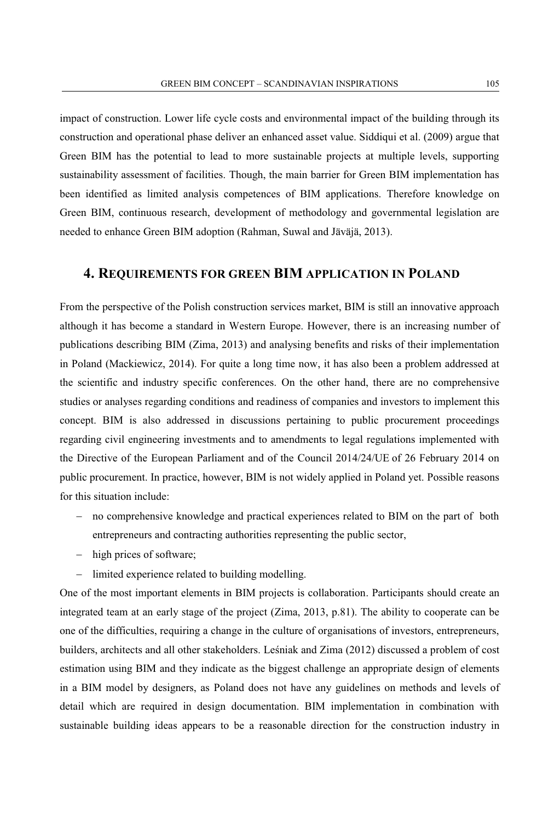impact of construction. Lower life cycle costs and environmental impact of the building through its construction and operational phase deliver an enhanced asset value. Siddiqui et al. (2009) argue that Green BIM has the potential to lead to more sustainable projects at multiple levels, supporting sustainability assessment of facilities. Though, the main barrier for Green BIM implementation has been identified as limited analysis competences of BIM applications. Therefore knowledge on Green BIM, continuous research, development of methodology and governmental legislation are needed to enhance Green BIM adoption (Rahman, Suwal and Jäväjä, 2013).

## **4. REQUIREMENTS FOR GREEN BIM APPLICATION IN POLAND**

From the perspective of the Polish construction services market, BIM is still an innovative approach although it has become a standard in Western Europe. However, there is an increasing number of publications describing BIM (Zima, 2013) and analysing benefits and risks of their implementation in Poland (Mackiewicz, 2014). For quite a long time now, it has also been a problem addressed at the scientific and industry specific conferences. On the other hand, there are no comprehensive studies or analyses regarding conditions and readiness of companies and investors to implement this concept. BIM is also addressed in discussions pertaining to public procurement proceedings regarding civil engineering investments and to amendments to legal regulations implemented with the Directive of the European Parliament and of the Council 2014/24/UE of 26 February 2014 on public procurement. In practice, however, BIM is not widely applied in Poland yet. Possible reasons for this situation include:

- no comprehensive knowledge and practical experiences related to BIM on the part of both entrepreneurs and contracting authorities representing the public sector,
- high prices of software;
- limited experience related to building modelling.

One of the most important elements in BIM projects is collaboration. Participants should create an integrated team at an early stage of the project (Zima, 2013, p.81). The ability to cooperate can be one of the difficulties, requiring a change in the culture of organisations of investors, entrepreneurs, builders, architects and all other stakeholders. Leśniak and Zima (2012) discussed a problem of cost estimation using BIM and they indicate as the biggest challenge an appropriate design of elements in a BIM model by designers, as Poland does not have any guidelines on methods and levels of detail which are required in design documentation. BIM implementation in combination with sustainable building ideas appears to be a reasonable direction for the construction industry in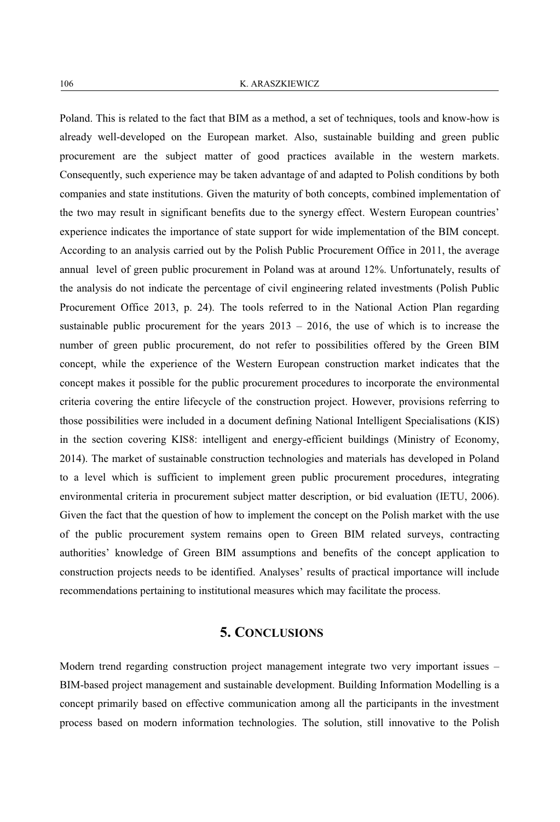Poland. This is related to the fact that BIM as a method, a set of techniques, tools and know-how is already well-developed on the European market. Also, sustainable building and green public procurement are the subject matter of good practices available in the western markets. Consequently, such experience may be taken advantage of and adapted to Polish conditions by both companies and state institutions. Given the maturity of both concepts, combined implementation of the two may result in significant benefits due to the synergy effect. Western European countries' experience indicates the importance of state support for wide implementation of the BIM concept. According to an analysis carried out by the Polish Public Procurement Office in 2011, the average annual level of green public procurement in Poland was at around 12%. Unfortunately, results of the analysis do not indicate the percentage of civil engineering related investments (Polish Public Procurement Office 2013, p. 24). The tools referred to in the National Action Plan regarding sustainable public procurement for the years  $2013 - 2016$ , the use of which is to increase the number of green public procurement, do not refer to possibilities offered by the Green BIM concept, while the experience of the Western European construction market indicates that the concept makes it possible for the public procurement procedures to incorporate the environmental criteria covering the entire lifecycle of the construction project. However, provisions referring to those possibilities were included in a document defining National Intelligent Specialisations (KIS) in the section covering KIS8: intelligent and energy-efficient buildings (Ministry of Economy, 2014). The market of sustainable construction technologies and materials has developed in Poland to a level which is sufficient to implement green public procurement procedures, integrating environmental criteria in procurement subject matter description, or bid evaluation (IETU, 2006). Given the fact that the question of how to implement the concept on the Polish market with the use of the public procurement system remains open to Green BIM related surveys, contracting authorities' knowledge of Green BIM assumptions and benefits of the concept application to construction projects needs to be identified. Analyses' results of practical importance will include recommendations pertaining to institutional measures which may facilitate the process.

### **5. CONCLUSIONS**

Modern trend regarding construction project management integrate two very important issues – BIM-based project management and sustainable development. Building Information Modelling is a concept primarily based on effective communication among all the participants in the investment process based on modern information technologies. The solution, still innovative to the Polish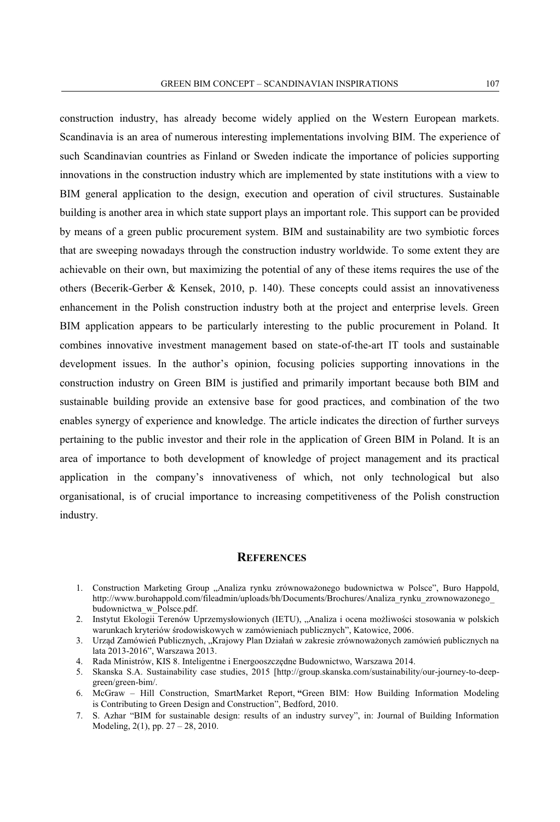construction industry, has already become widely applied on the Western European markets. Scandinavia is an area of numerous interesting implementations involving BIM. The experience of such Scandinavian countries as Finland or Sweden indicate the importance of policies supporting innovations in the construction industry which are implemented by state institutions with a view to BIM general application to the design, execution and operation of civil structures. Sustainable building is another area in which state support plays an important role. This support can be provided by means of a green public procurement system. BIM and sustainability are two symbiotic forces that are sweeping nowadays through the construction industry worldwide. To some extent they are achievable on their own, but maximizing the potential of any of these items requires the use of the others (Becerik-Gerber & Kensek, 2010, p. 140). These concepts could assist an innovativeness enhancement in the Polish construction industry both at the project and enterprise levels. Green BIM application appears to be particularly interesting to the public procurement in Poland. It combines innovative investment management based on state-of-the-art IT tools and sustainable development issues. In the author's opinion, focusing policies supporting innovations in the construction industry on Green BIM is justified and primarily important because both BIM and sustainable building provide an extensive base for good practices, and combination of the two enables synergy of experience and knowledge. The article indicates the direction of further surveys pertaining to the public investor and their role in the application of Green BIM in Poland. It is an area of importance to both development of knowledge of project management and its practical application in the company's innovativeness of which, not only technological but also organisational, is of crucial importance to increasing competitiveness of the Polish construction industry.

#### **REFERENCES**

- 1. Construction Marketing Group "Analiza rynku zrównoważonego budownictwa w Polsce", Buro Happold, http://www.burohappold.com/fileadmin/uploads/bh/Documents/Brochures/Analiza\_rynku\_zrownowazonego\_ budownictwa\_w\_Polsce.pdf.
- 2. Instytut Ekologii Terenów Uprzemysłowionych (IETU), "Analiza i ocena możliwości stosowania w polskich warunkach kryteriów środowiskowych w zamówieniach publicznych", Katowice, 2006.
- 3. Urząd Zamówień Publicznych, "Krajowy Plan Działań w zakresie zrównoważonych zamówień publicznych na lata 2013-2016", Warszawa 2013.
- 4. Rada Ministrów, KIS 8. Inteligentne i Energooszczędne Budownictwo, Warszawa 2014.
- 5. Skanska S.A. Sustainability case studies, 2015 [http://group.skanska.com/sustainability/our-journey-to-deepgreen/green-bim/.
- 6. McGraw Hill Construction, SmartMarket Report, **"**Green BIM: How Building Information Modeling is Contributing to Green Design and Construction", Bedford, 2010.
- 7. S. Azhar "BIM for sustainable design: results of an industry survey", in: Journal of Building Information Modeling, 2(1), pp. 27 – 28, 2010.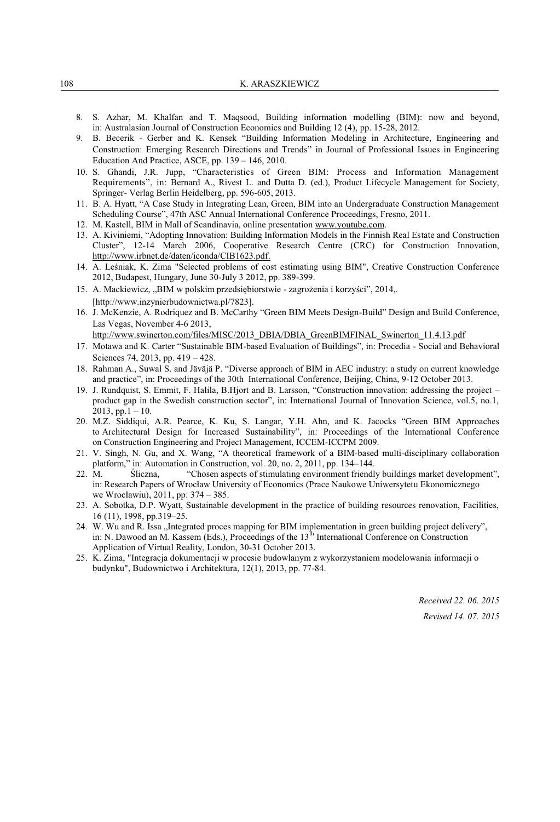- 8. S. Azhar, M. Khalfan and T. Maqsood, Building information modelling (BIM): now and beyond, in: Australasian Journal of Construction Economics and Building 12 (4), pp. 15-28, 2012.
- 9. B. Becerik Gerber and K. Kensek "Building Information Modeling in Architecture, Engineering and Construction: Emerging Research Directions and Trends" in Journal of Professional Issues in Engineering Education And Practice, ASCE, pp. 139 – 146, 2010.
- 10. S. Ghandi, J.R. Jupp, "Characteristics of Green BIM: Process and Information Management Requirements", in: Bernard A., Rivest L. and Dutta D. (ed.), Product Lifecycle Management for Society, Springer- Verlag Berlin Heidelberg, pp. 596-605, 2013.
- 11. B. A. Hyatt, "A Case Study in Integrating Lean, Green, BIM into an Undergraduate Construction Management Scheduling Course", 47th ASC Annual International Conference Proceedings, Fresno, 2011.
- 12. M. Kastell, BIM in Mall of Scandinavia, online presentation www.youtube.com.
- 13. A. Kiviniemi, "Adopting Innovation: Building Information Models in the Finnish Real Estate and Construction Cluster", 12-14 March 2006, Cooperative Research Centre (CRC) for Construction Innovation, http://www.irbnet.de/daten/iconda/CIB1623.pdf.
- 14. A. Leśniak, K. Zima "Selected problems of cost estimating using BIM", Creative Construction Conference 2012, Budapest, Hungary, June 30-July 3 2012, pp. 389-399.
- 15. A. Mackiewicz, "BIM w polskim przedsiębiorstwie zagrożenia i korzyści", 2014,. [http://www.inzynierbudownictwa.pl/7823].
- 16. J. McKenzie, A. Rodriquez and B. McCarthy "Green BIM Meets Design-Build" Design and Build Conference, Las Vegas, November 4-6 2013, http://www.swinerton.com/files/MISC/2013\_DBIA/DBIA\_GreenBIMFINAL\_Swinerton\_11.4.13.pdf
- 17. Motawa and K. Carter "Sustainable BIM-based Evaluation of Buildings", in: Procedia Social and Behavioral Sciences 74, 2013, pp. 419 – 428.
- 18. Rahman A., Suwal S. and Jäväjä P. "Diverse approach of BIM in AEC industry: a study on current knowledge and practice", in: Proceedings of the 30th International Conference, Beijing, China, 9-12 October 2013.
- 19. J. Rundquist, S. Emmit, F. Halila, B.Hjort and B. Larsson, "Construction innovation: addressing the project product gap in the Swedish construction sector", in: International Journal of Innovation Science, vol.5, no.1,  $2013$ , pp.1 – 10.
- 20. M.Z. Siddiqui, A.R. Pearce, K. Ku, S. Langar, Y.H. Ahn, and K. Jacocks "Green BIM Approaches to Architectural Design for Increased Sustainability", in: Proceedings of the International Conference on Construction Engineering and Project Management, ICCEM-ICCPM 2009.
- 21. V. Singh, N. Gu, and X. Wang, "A theoretical framework of a BIM-based multi-disciplinary collaboration platform," in: Automation in Construction, vol. 20, no. 2, 2011, pp. 134–144.<br>22. M. Sliczna. "Chosen aspects of stimulating environment friendl
- "Chosen aspects of stimulating environment friendly buildings market development", in: Research Papers of Wrocław University of Economics (Prace Naukowe Uniwersytetu Ekonomicznego we Wrocławiu), 2011, pp: 374 – 385.
- 23. A. Sobotka, D.P. Wyatt, Sustainable development in the practice of building resources renovation, Facilities, 16 (11), 1998, pp.319–25.
- 24. W. Wu and R. Issa "Integrated proces mapping for BIM implementation in green building project delivery", in: N. Dawood an M. Kassem (Eds.), Proceedings of the  $13<sup>th</sup>$  International Conference on Construction Application of Virtual Reality, London, 30-31 October 2013.
- 25. K. Zima, "Integracja dokumentacji w procesie budowlanym z wykorzystaniem modelowania informacji o budynku", Budownictwo i Architektura, 12(1), 2013, pp. 77-84.

*Received 22. 06. 2015 Revised 14. 07. 2015*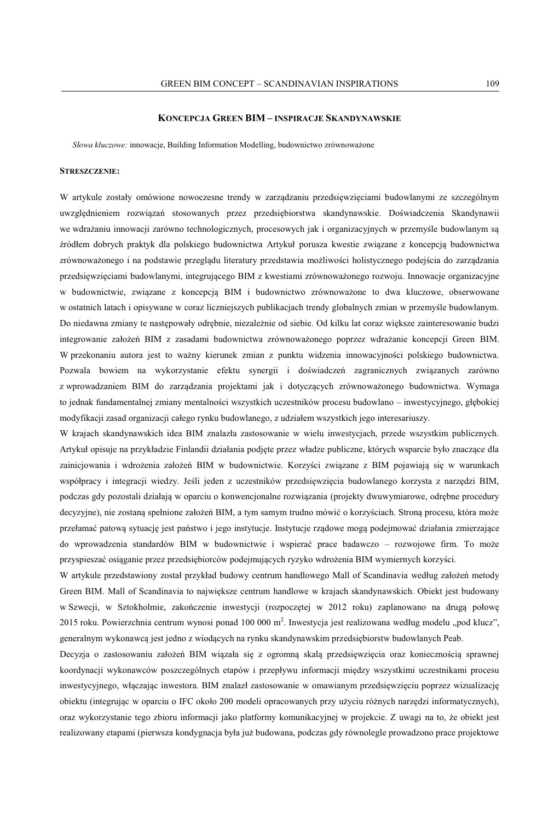#### **KONCEPCJA GREEN BIM – INSPIRACJE SKANDYNAWSKIE**

*Słowa kluczowe:* innowacje, Building Information Modelling, budownictwo zrównoważone

#### **STRESZCZENIE:**

W artykule zostały omówione nowoczesne trendy w zarządzaniu przedsięwzięciami budowlanymi ze szczególnym uwzględnieniem rozwiązań stosowanych przez przedsiębiorstwa skandynawskie. Doświadczenia Skandynawii we wdrażaniu innowacji zarówno technologicznych, procesowych jak i organizacyjnych w przemyśle budowlanym są źródłem dobrych praktyk dla polskiego budownictwa Artykuł porusza kwestie związane z koncepcją budownictwa zrównoważonego i na podstawie przeglądu literatury przedstawia możliwości holistycznego podejścia do zarządzania przedsięwzięciami budowlanymi, integrującego BIM z kwestiami zrównoważonego rozwoju. Innowacje organizacyjne w budownictwie, związane z koncepcją BIM i budownictwo zrównoważone to dwa kluczowe, obserwowane w ostatnich latach i opisywane w coraz liczniejszych publikacjach trendy globalnych zmian w przemyśle budowlanym. Do niedawna zmiany te następowały odrębnie, niezależnie od siebie. Od kilku lat coraz większe zainteresowanie budzi integrowanie założeń BIM z zasadami budownictwa zrównoważonego poprzez wdrażanie koncepcji Green BIM. W przekonaniu autora jest to ważny kierunek zmian z punktu widzenia innowacyjności polskiego budownictwa. Pozwala bowiem na wykorzystanie efektu synergii i doświadczeń zagranicznych związanych zarówno z wprowadzaniem BIM do zarządzania projektami jak i dotyczących zrównoważonego budownictwa. Wymaga to jednak fundamentalnej zmiany mentalności wszystkich uczestników procesu budowlano – inwestycyjnego, głębokiej modyfikacji zasad organizacji całego rynku budowlanego, z udziałem wszystkich jego interesariuszy.

W krajach skandynawskich idea BIM znalazła zastosowanie w wielu inwestycjach, przede wszystkim publicznych. Artykuł opisuje na przykładzie Finlandii działania podjęte przez władze publiczne, których wsparcie było znaczące dla zainicjowania i wdrożenia założeń BIM w budownictwie. Korzyści związane z BIM pojawiają się w warunkach współpracy i integracji wiedzy. Jeśli jeden z uczestników przedsięwzięcia budowlanego korzysta z narzędzi BIM, podczas gdy pozostali działają w oparciu o konwencjonalne rozwiązania (projekty dwuwymiarowe, odrębne procedury decyzyjne), nie zostaną spełnione założeń BIM, a tym samym trudno mówić o korzyściach. Stroną procesu, która może przełamać patową sytuację jest państwo i jego instytucje. Instytucje rządowe mogą podejmować działania zmierzające do wprowadzenia standardów BIM w budownictwie i wspierać prace badawczo – rozwojowe firm. To może przyspieszać osiąganie przez przedsiębiorców podejmujących ryzyko wdrożenia BIM wymiernych korzyści.

W artykule przedstawiony został przykład budowy centrum handlowego Mall of Scandinavia według założeń metody Green BIM. Mall of Scandinavia to największe centrum handlowe w krajach skandynawskich. Obiekt jest budowany w Szwecji, w Sztokholmie, zakończenie inwestycji (rozpoczętej w 2012 roku) zaplanowano na drugą połowę 2015 roku. Powierzchnia centrum wynosi ponad 100 000 m<sup>2</sup>. Inwestycja jest realizowana według modelu "pod klucz", generalnym wykonawcą jest jedno z wiodących na rynku skandynawskim przedsiębiorstw budowlanych Peab.

Decyzja o zastosowaniu założeń BIM wiązała się z ogromną skalą przedsięwzięcia oraz koniecznością sprawnej koordynacji wykonawców poszczególnych etapów i przepływu informacji między wszystkimi uczestnikami procesu inwestycyjnego, włączając inwestora. BIM znalazł zastosowanie w omawianym przedsięwzięciu poprzez wizualizację obiektu (integrując w oparciu o IFC około 200 modeli opracowanych przy użyciu różnych narzędzi informatycznych), oraz wykorzystanie tego zbioru informacji jako platformy komunikacyjnej w projekcie. Z uwagi na to, że obiekt jest realizowany etapami (pierwsza kondygnacja była już budowana, podczas gdy równolegle prowadzono prace projektowe